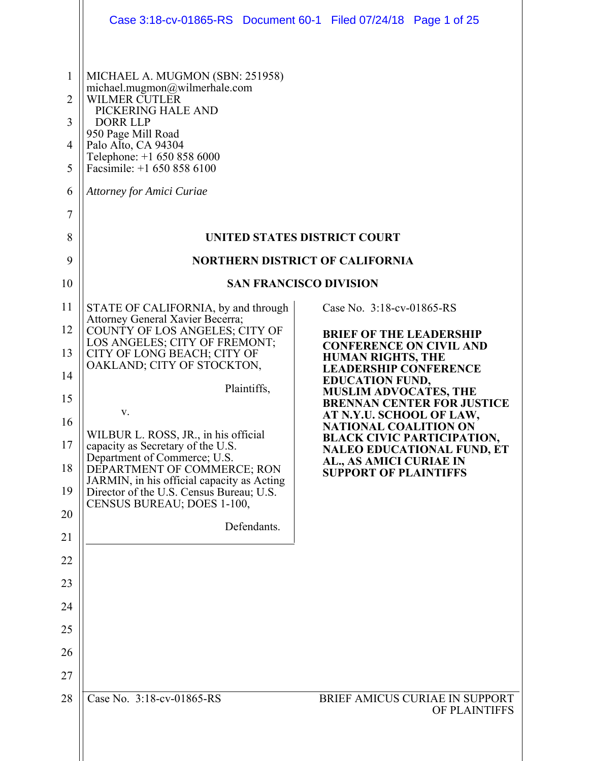|                                                                   | Case 3:18-cv-01865-RS  Document 60-1  Filed 07/24/18  Page 1 of 25                                                                                                                                                                                                                                                                                              |                                                                  |                                                                        |
|-------------------------------------------------------------------|-----------------------------------------------------------------------------------------------------------------------------------------------------------------------------------------------------------------------------------------------------------------------------------------------------------------------------------------------------------------|------------------------------------------------------------------|------------------------------------------------------------------------|
| $\mathbf{1}$<br>$\overline{2}$<br>3<br>4<br>5<br>6<br>7<br>8<br>9 | MICHAEL A. MUGMON (SBN: 251958)<br>michael.mugmon@wilmerhale.com<br><b>WILMER CUTLER</b><br>PICKERING HALE AND<br><b>DORR LLP</b><br>950 Page Mill Road<br>Palo Alto, CA 94304<br>Telephone: +1 650 858 6000<br>Facsimile: +1 650 858 6100<br><b>Attorney for Amici Curiae</b><br><b>UNITED STATES DISTRICT COURT</b><br><b>NORTHERN DISTRICT OF CALIFORNIA</b> |                                                                  |                                                                        |
| 10                                                                | <b>SAN FRANCISCO DIVISION</b>                                                                                                                                                                                                                                                                                                                                   |                                                                  |                                                                        |
| 11<br>12                                                          | STATE OF CALIFORNIA, by and through<br>Attorney General Xavier Becerra;                                                                                                                                                                                                                                                                                         | Case No. 3:18-cv-01865-RS                                        |                                                                        |
| 13                                                                | COUNTY OF LOS ANGELES; CITY OF<br>LOS ANGELES; CITY OF FREMONT;<br>CITY OF LONG BEACH; CITY OF                                                                                                                                                                                                                                                                  | <b>BRIEF OF THE LEADERSHIP</b><br><b>CONFERENCE ON CIVIL AND</b> |                                                                        |
| 14                                                                | OAKLAND; CITY OF STOCKTON,                                                                                                                                                                                                                                                                                                                                      | <b>HUMAN RIGHTS, THE</b><br><b>LEADERSHIP CONFERENCE</b>         |                                                                        |
| 15                                                                | Plaintiffs,                                                                                                                                                                                                                                                                                                                                                     | <b>EDUCATION FUND,</b><br><b>MUSLIM ADVOCATES, THE</b>           | <b>BRENNAN CENTER FOR JUSTICE</b>                                      |
| 16                                                                | V.                                                                                                                                                                                                                                                                                                                                                              | AT N.Y.U. SCHOOL OF LAW,<br><b>NATIONAL COALITION ON</b>         |                                                                        |
| 17                                                                | WILBUR L. ROSS, JR., in his official<br>capacity as Secretary of the U.S.                                                                                                                                                                                                                                                                                       |                                                                  | <b>BLACK CIVIC PARTICIPATION,</b><br><b>NALEO EDUCATIONAL FUND, ET</b> |
| 18                                                                | Department of Commerce; U.S.<br>DEPARTMENT OF COMMERCE; RON                                                                                                                                                                                                                                                                                                     | AL., AS AMICI CURIAE IN<br><b>SUPPORT OF PLAINTIFFS</b>          |                                                                        |
| 19                                                                | JARMIN, in his official capacity as Acting<br>Director of the U.S. Census Bureau; U.S.                                                                                                                                                                                                                                                                          |                                                                  |                                                                        |
| 20                                                                | CENSUS BUREAU; DOES 1-100,                                                                                                                                                                                                                                                                                                                                      |                                                                  |                                                                        |
| 21                                                                | Defendants.                                                                                                                                                                                                                                                                                                                                                     |                                                                  |                                                                        |
| 22                                                                |                                                                                                                                                                                                                                                                                                                                                                 |                                                                  |                                                                        |
| 23                                                                |                                                                                                                                                                                                                                                                                                                                                                 |                                                                  |                                                                        |
| 24                                                                |                                                                                                                                                                                                                                                                                                                                                                 |                                                                  |                                                                        |
| 25                                                                |                                                                                                                                                                                                                                                                                                                                                                 |                                                                  |                                                                        |
| 26                                                                |                                                                                                                                                                                                                                                                                                                                                                 |                                                                  |                                                                        |
| 27                                                                |                                                                                                                                                                                                                                                                                                                                                                 |                                                                  |                                                                        |
| 28                                                                | Case No. 3:18-cv-01865-RS                                                                                                                                                                                                                                                                                                                                       |                                                                  | BRIEF AMICUS CURIAE IN SUPPORT<br>OF PLAINTIFFS                        |
|                                                                   |                                                                                                                                                                                                                                                                                                                                                                 |                                                                  |                                                                        |
|                                                                   |                                                                                                                                                                                                                                                                                                                                                                 |                                                                  |                                                                        |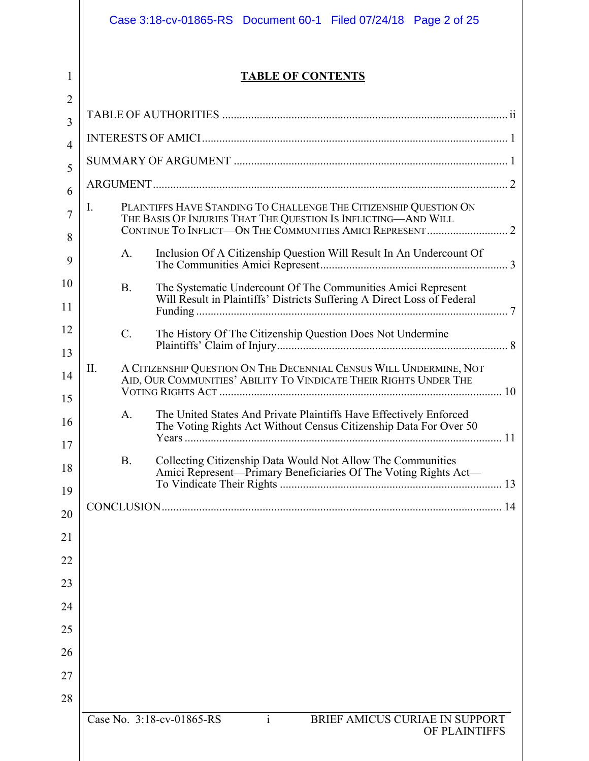|                     |                                                                         | Case 3:18-cv-01865-RS  Document 60-1  Filed 07/24/18  Page 2 of 25                                                                      |  |
|---------------------|-------------------------------------------------------------------------|-----------------------------------------------------------------------------------------------------------------------------------------|--|
| 1                   |                                                                         | <b>TABLE OF CONTENTS</b>                                                                                                                |  |
| $\overline{2}$<br>3 |                                                                         |                                                                                                                                         |  |
| $\overline{4}$      |                                                                         |                                                                                                                                         |  |
| 5                   |                                                                         |                                                                                                                                         |  |
|                     |                                                                         |                                                                                                                                         |  |
| 6                   | PLAINTIFFS HAVE STANDING TO CHALLENGE THE CITIZENSHIP QUESTION ON<br>I. |                                                                                                                                         |  |
| 7                   | THE BASIS OF INJURIES THAT THE QUESTION IS INFLICTING-AND WILL          |                                                                                                                                         |  |
| 8<br>9              | A.                                                                      | Inclusion Of A Citizenship Question Will Result In An Undercount Of                                                                     |  |
| 10                  | <b>B.</b>                                                               | The Systematic Undercount Of The Communities Amici Represent                                                                            |  |
| 11                  |                                                                         | Will Result in Plaintiffs' Districts Suffering A Direct Loss of Federal                                                                 |  |
| 12                  | C.                                                                      | The History Of The Citizenship Question Does Not Undermine                                                                              |  |
| 13                  |                                                                         |                                                                                                                                         |  |
| 14                  | Π.                                                                      | A CITIZENSHIP QUESTION ON THE DECENNIAL CENSUS WILL UNDERMINE, NOT<br>AID, OUR COMMUNITIES' ABILITY TO VINDICATE THEIR RIGHTS UNDER THE |  |
| 15                  |                                                                         |                                                                                                                                         |  |
| 16<br>17            | A.                                                                      | The United States And Private Plaintiffs Have Effectively Enforced<br>The Voting Rights Act Without Census Citizenship Data For Over 50 |  |
| 18                  | <b>B.</b>                                                               | Collecting Citizenship Data Would Not Allow The Communities                                                                             |  |
| 19                  |                                                                         | Amici Represent-Primary Beneficiaries Of The Voting Rights Act-                                                                         |  |
| 20                  |                                                                         |                                                                                                                                         |  |
| 21                  |                                                                         |                                                                                                                                         |  |
| 22                  |                                                                         |                                                                                                                                         |  |
| 23                  |                                                                         |                                                                                                                                         |  |
| 24                  |                                                                         |                                                                                                                                         |  |
| 25                  |                                                                         |                                                                                                                                         |  |
| 26                  |                                                                         |                                                                                                                                         |  |
| 27                  |                                                                         |                                                                                                                                         |  |
| 28                  |                                                                         |                                                                                                                                         |  |
|                     |                                                                         | $\mathbf{i}$<br>Case No. 3:18-cv-01865-RS<br>BRIEF AMICUS CURIAE IN SUPPORT<br>OF PLAINTIFFS                                            |  |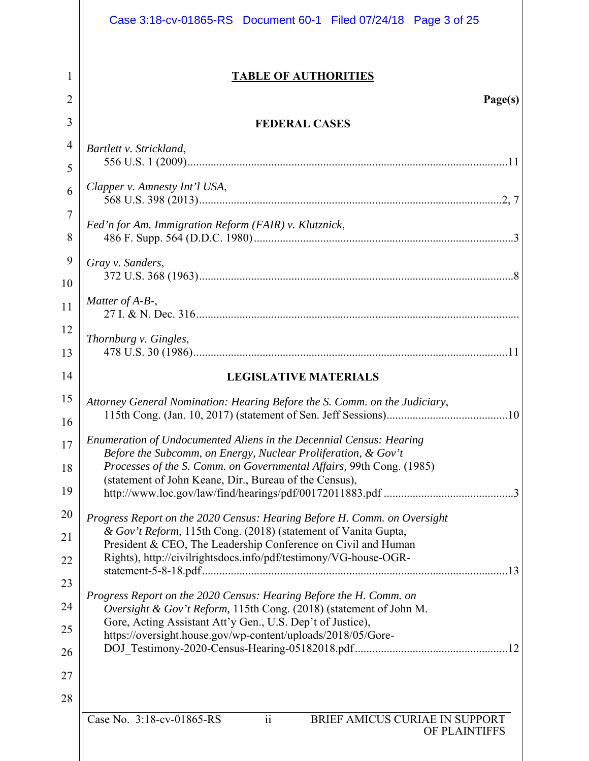| Case 3:18-cv-01865-RS Document 60-1 Filed 07/24/18 Page 3 of 25                                                                                                                                                                                                                                                                                                                                                                                                                                                                                                                                                                                                                                                                                                                                                                     |
|-------------------------------------------------------------------------------------------------------------------------------------------------------------------------------------------------------------------------------------------------------------------------------------------------------------------------------------------------------------------------------------------------------------------------------------------------------------------------------------------------------------------------------------------------------------------------------------------------------------------------------------------------------------------------------------------------------------------------------------------------------------------------------------------------------------------------------------|
| <b>TABLE OF AUTHORITIES</b><br>Page(s)                                                                                                                                                                                                                                                                                                                                                                                                                                                                                                                                                                                                                                                                                                                                                                                              |
| <b>FEDERAL CASES</b>                                                                                                                                                                                                                                                                                                                                                                                                                                                                                                                                                                                                                                                                                                                                                                                                                |
| Bartlett v. Strickland,                                                                                                                                                                                                                                                                                                                                                                                                                                                                                                                                                                                                                                                                                                                                                                                                             |
|                                                                                                                                                                                                                                                                                                                                                                                                                                                                                                                                                                                                                                                                                                                                                                                                                                     |
| Clapper v. Amnesty Int'l USA,                                                                                                                                                                                                                                                                                                                                                                                                                                                                                                                                                                                                                                                                                                                                                                                                       |
| Fed'n for Am. Immigration Reform (FAIR) v. Klutznick,                                                                                                                                                                                                                                                                                                                                                                                                                                                                                                                                                                                                                                                                                                                                                                               |
| Gray v. Sanders,                                                                                                                                                                                                                                                                                                                                                                                                                                                                                                                                                                                                                                                                                                                                                                                                                    |
| Matter of A-B-,                                                                                                                                                                                                                                                                                                                                                                                                                                                                                                                                                                                                                                                                                                                                                                                                                     |
| Thornburg v. Gingles,                                                                                                                                                                                                                                                                                                                                                                                                                                                                                                                                                                                                                                                                                                                                                                                                               |
| <b>LEGISLATIVE MATERIALS</b>                                                                                                                                                                                                                                                                                                                                                                                                                                                                                                                                                                                                                                                                                                                                                                                                        |
| Attorney General Nomination: Hearing Before the S. Comm. on the Judiciary,                                                                                                                                                                                                                                                                                                                                                                                                                                                                                                                                                                                                                                                                                                                                                          |
| Enumeration of Undocumented Aliens in the Decennial Census: Hearing<br>Before the Subcomm, on Energy, Nuclear Proliferation, & Gov't<br>Processes of the S. Comm. on Governmental Affairs, 99th Cong. (1985)<br>(statement of John Keane, Dir., Bureau of the Census),<br>Progress Report on the 2020 Census: Hearing Before H. Comm. on Oversight<br>& Gov't Reform, 115th Cong. (2018) (statement of Vanita Gupta,<br>President & CEO, The Leadership Conference on Civil and Human<br>Rights), http://civilrightsdocs.info/pdf/testimony/VG-house-OGR-<br>Progress Report on the 2020 Census: Hearing Before the H. Comm. on<br>Oversight & Gov't Reform, 115th Cong. (2018) (statement of John M.<br>Gore, Acting Assistant Att'y Gen., U.S. Dep't of Justice),<br>https://oversight.house.gov/wp-content/uploads/2018/05/Gore- |
| $\ddot{\rm i}$<br>Case No. 3:18-cv-01865-RS<br>BRIEF AMICUS CURIAE IN SUPPORT<br>OF PLAINTIFFS                                                                                                                                                                                                                                                                                                                                                                                                                                                                                                                                                                                                                                                                                                                                      |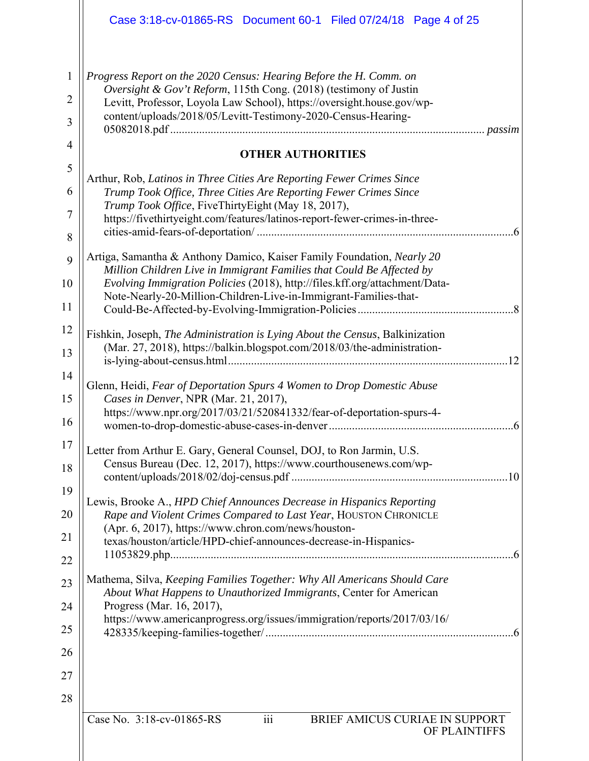|                | Case 3:18-cv-01865-RS Document 60-1 Filed 07/24/18 Page 4 of 25                                                                                 |
|----------------|-------------------------------------------------------------------------------------------------------------------------------------------------|
| $\mathbf{1}$   | Progress Report on the 2020 Census: Hearing Before the H. Comm. on                                                                              |
| $\overline{2}$ | Oversight & Gov't Reform, 115th Cong. (2018) (testimony of Justin<br>Levitt, Professor, Loyola Law School), https://oversight.house.gov/wp-     |
| 3              | content/uploads/2018/05/Levitt-Testimony-2020-Census-Hearing-                                                                                   |
| $\overline{4}$ | <b>OTHER AUTHORITIES</b>                                                                                                                        |
| 5              | Arthur, Rob, Latinos in Three Cities Are Reporting Fewer Crimes Since                                                                           |
| 6              | Trump Took Office, Three Cities Are Reporting Fewer Crimes Since                                                                                |
| $\tau$         | Trump Took Office, FiveThirtyEight (May 18, 2017),<br>https://fivethirtyeight.com/features/latinos-report-fewer-crimes-in-three-                |
| 8              |                                                                                                                                                 |
| 9              | Artiga, Samantha & Anthony Damico, Kaiser Family Foundation, Nearly 20<br>Million Children Live in Immigrant Families that Could Be Affected by |
| 10             | Evolving Immigration Policies (2018), http://files.kff.org/attachment/Data-                                                                     |
| 11             | Note-Nearly-20-Million-Children-Live-in-Immigrant-Families-that-                                                                                |
| 12             | Fishkin, Joseph, The Administration is Lying About the Census, Balkinization                                                                    |
| 13             | (Mar. 27, 2018), https://balkin.blogspot.com/2018/03/the-administration-                                                                        |
| 14             |                                                                                                                                                 |
| 15             | Glenn, Heidi, Fear of Deportation Spurs 4 Women to Drop Domestic Abuse<br>Cases in Denver, NPR (Mar. 21, 2017),                                 |
| 16             | https://www.npr.org/2017/03/21/520841332/fear-of-deportation-spurs-4-<br>6                                                                      |
| 17             | Letter from Arthur E. Gary, General Counsel, DOJ, to Ron Jarmin, U.S.                                                                           |
| 18             | Census Bureau (Dec. 12, 2017), https://www.courthousenews.com/wp-                                                                               |
| 19             | Lewis, Brooke A., HPD Chief Announces Decrease in Hispanics Reporting                                                                           |
| 20             | Rape and Violent Crimes Compared to Last Year, HOUSTON CHRONICLE<br>(Apr. 6, 2017), https://www.chron.com/news/houston-                         |
| 21             | texas/houston/article/HPD-chief-announces-decrease-in-Hispanics-                                                                                |
| 22             |                                                                                                                                                 |
| 23             | Mathema, Silva, Keeping Families Together: Why All Americans Should Care<br>About What Happens to Unauthorized Immigrants, Center for American  |
| 24             | Progress (Mar. 16, 2017),<br>https://www.americanprogress.org/issues/immigration/reports/2017/03/16/                                            |
| 25             |                                                                                                                                                 |
| 26             |                                                                                                                                                 |
| 27             |                                                                                                                                                 |
| 28             |                                                                                                                                                 |
|                | $\overline{iii}$<br>Case No. 3:18-cv-01865-RS<br>BRIEF AMICUS CURIAE IN SUPPORT<br>OF PLAINTIFFS                                                |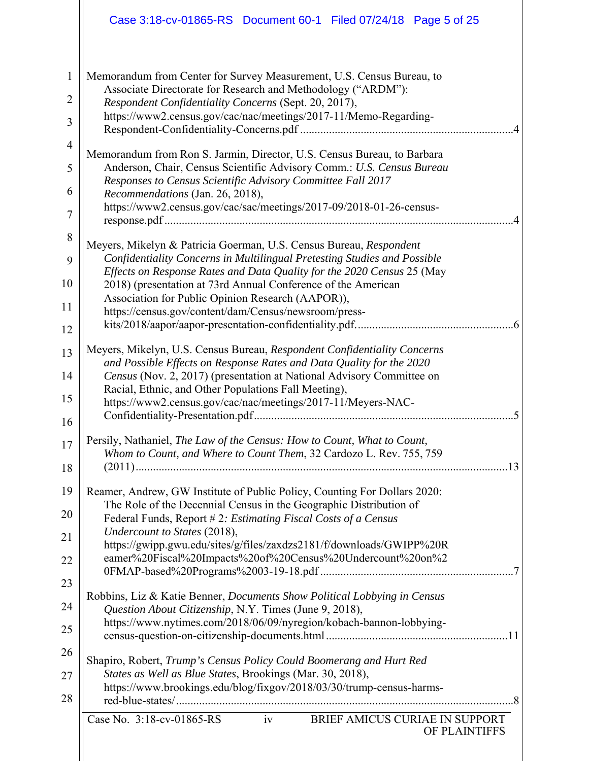|                | Case 3:18-cv-01865-RS Document 60-1 Filed 07/24/18 Page 5 of 25                                                                                    |  |  |
|----------------|----------------------------------------------------------------------------------------------------------------------------------------------------|--|--|
| $\mathbf{1}$   | Memorandum from Center for Survey Measurement, U.S. Census Bureau, to                                                                              |  |  |
| $\overline{2}$ | Associate Directorate for Research and Methodology ("ARDM"):<br>Respondent Confidentiality Concerns (Sept. 20, 2017),                              |  |  |
| 3              | https://www2.census.gov/cac/nac/meetings/2017-11/Memo-Regarding-                                                                                   |  |  |
| $\overline{4}$ | Memorandum from Ron S. Jarmin, Director, U.S. Census Bureau, to Barbara                                                                            |  |  |
| 5              | Anderson, Chair, Census Scientific Advisory Comm.: U.S. Census Bureau<br>Responses to Census Scientific Advisory Committee Fall 2017               |  |  |
| 6              | Recommendations (Jan. 26, 2018),                                                                                                                   |  |  |
| $\overline{7}$ | https://www2.census.gov/cac/sac/meetings/2017-09/2018-01-26-census-                                                                                |  |  |
| 8              | Meyers, Mikelyn & Patricia Goerman, U.S. Census Bureau, Respondent                                                                                 |  |  |
| 9              | Confidentiality Concerns in Multilingual Pretesting Studies and Possible<br>Effects on Response Rates and Data Quality for the 2020 Census 25 (May |  |  |
| 10             | 2018) (presentation at 73rd Annual Conference of the American<br>Association for Public Opinion Research (AAPOR)),                                 |  |  |
| 11             | https://census.gov/content/dam/Census/newsroom/press-                                                                                              |  |  |
| 12             |                                                                                                                                                    |  |  |
| 13             | Meyers, Mikelyn, U.S. Census Bureau, Respondent Confidentiality Concerns<br>and Possible Effects on Response Rates and Data Quality for the 2020   |  |  |
| 14             | Census (Nov. 2, 2017) (presentation at National Advisory Committee on<br>Racial, Ethnic, and Other Populations Fall Meeting),                      |  |  |
| 15             | https://www2.census.gov/cac/nac/meetings/2017-11/Meyers-NAC-                                                                                       |  |  |
| 16             |                                                                                                                                                    |  |  |
| 17             | Persily, Nathaniel, The Law of the Census: How to Count, What to Count,<br>Whom to Count, and Where to Count Them, 32 Cardozo L. Rev. 755, 759     |  |  |
| 18             |                                                                                                                                                    |  |  |
| 19             | Reamer, Andrew, GW Institute of Public Policy, Counting For Dollars 2020:<br>The Role of the Decennial Census in the Geographic Distribution of    |  |  |
| 20             | Federal Funds, Report #2: Estimating Fiscal Costs of a Census                                                                                      |  |  |
| 21             | Undercount to States (2018),<br>https://gwipp.gwu.edu/sites/g/files/zaxdzs2181/f/downloads/GWIPP%20R                                               |  |  |
| 22             | eamer%20Fiscal%20Impacts%20of%20Census%20Undercount%20on%2                                                                                         |  |  |
| 23             | Robbins, Liz & Katie Benner, <i>Documents Show Political Lobbying in Census</i>                                                                    |  |  |
| 24             | Question About Citizenship, N.Y. Times (June 9, 2018),<br>https://www.nytimes.com/2018/06/09/nyregion/kobach-bannon-lobbying-                      |  |  |
| 25             |                                                                                                                                                    |  |  |
| 26             | Shapiro, Robert, Trump's Census Policy Could Boomerang and Hurt Red                                                                                |  |  |
| 27             | States as Well as Blue States, Brookings (Mar. 30, 2018),<br>https://www.brookings.edu/blog/fixgov/2018/03/30/trump-census-harms-                  |  |  |
| 28             |                                                                                                                                                    |  |  |
|                | Case No. $3:18$ -cv-01865-RS iv<br>BRIEF AMICUS CURIAE IN SUPPORT<br>OF PLAINTIFFS                                                                 |  |  |
|                |                                                                                                                                                    |  |  |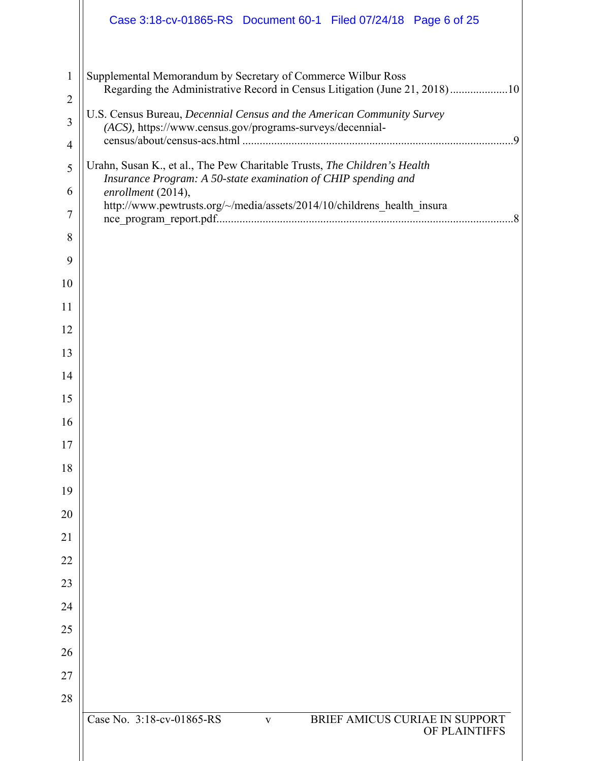|                     | Case 3:18-cv-01865-RS Document 60-1 Filed 07/24/18 Page 6 of 25                                                                            |
|---------------------|--------------------------------------------------------------------------------------------------------------------------------------------|
| $\mathbf{1}$        | Supplemental Memorandum by Secretary of Commerce Wilbur Ross<br>Regarding the Administrative Record in Census Litigation (June 21, 2018)10 |
| $\overline{2}$      | U.S. Census Bureau, Decennial Census and the American Community Survey                                                                     |
| 3<br>$\overline{4}$ | (ACS), https://www.census.gov/programs-surveys/decennial-                                                                                  |
| 5                   | Urahn, Susan K., et al., The Pew Charitable Trusts, The Children's Health                                                                  |
| 6                   | Insurance Program: A 50-state examination of CHIP spending and<br>enrollment (2014),                                                       |
| $\overline{7}$      | http://www.pewtrusts.org/~/media/assets/2014/10/childrens_health_insura                                                                    |
| 8                   |                                                                                                                                            |
| 9                   |                                                                                                                                            |
| 10                  |                                                                                                                                            |
| 11                  |                                                                                                                                            |
| 12                  |                                                                                                                                            |
| 13                  |                                                                                                                                            |
| 14                  |                                                                                                                                            |
| 15                  |                                                                                                                                            |
| 16                  |                                                                                                                                            |
| 17                  |                                                                                                                                            |
| 18                  |                                                                                                                                            |
| 19                  |                                                                                                                                            |
| 20                  |                                                                                                                                            |
| 21                  |                                                                                                                                            |
| 22                  |                                                                                                                                            |
| 23                  |                                                                                                                                            |
| 24                  |                                                                                                                                            |
| 25                  |                                                                                                                                            |
| 26                  |                                                                                                                                            |
| 27<br>28            |                                                                                                                                            |
|                     | Case No. 3:18-cv-01865-RS<br>BRIEF AMICUS CURIAE IN SUPPORT<br>$\mathbf{V}$<br>OF PLAINTIFFS                                               |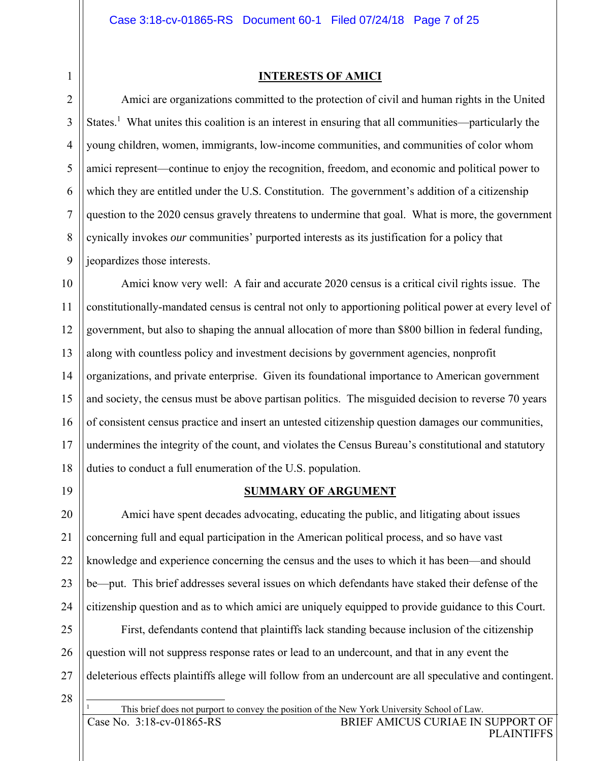### **INTERESTS OF AMICI**

Amici are organizations committed to the protection of civil and human rights in the United States.<sup>1</sup> What unites this coalition is an interest in ensuring that all communities—particularly the young children, women, immigrants, low-income communities, and communities of color whom amici represent—continue to enjoy the recognition, freedom, and economic and political power to which they are entitled under the U.S. Constitution. The government's addition of a citizenship question to the 2020 census gravely threatens to undermine that goal. What is more, the government cynically invokes *our* communities' purported interests as its justification for a policy that jeopardizes those interests.

10 11 12 13 14 15 16 17 18 Amici know very well: A fair and accurate 2020 census is a critical civil rights issue. The constitutionally-mandated census is central not only to apportioning political power at every level of government, but also to shaping the annual allocation of more than \$800 billion in federal funding, along with countless policy and investment decisions by government agencies, nonprofit organizations, and private enterprise. Given its foundational importance to American government and society, the census must be above partisan politics. The misguided decision to reverse 70 years of consistent census practice and insert an untested citizenship question damages our communities, undermines the integrity of the count, and violates the Census Bureau's constitutional and statutory duties to conduct a full enumeration of the U.S. population.

19

1

2

3

4

5

6

7

8

9

## **SUMMARY OF ARGUMENT**

20 21 22 23 24 Amici have spent decades advocating, educating the public, and litigating about issues concerning full and equal participation in the American political process, and so have vast knowledge and experience concerning the census and the uses to which it has been—and should be—put. This brief addresses several issues on which defendants have staked their defense of the citizenship question and as to which amici are uniquely equipped to provide guidance to this Court.

25 26 27 First, defendants contend that plaintiffs lack standing because inclusion of the citizenship question will not suppress response rates or lead to an undercount, and that in any event the deleterious effects plaintiffs allege will follow from an undercount are all speculative and contingent.

28

 $\overline{a}$ 1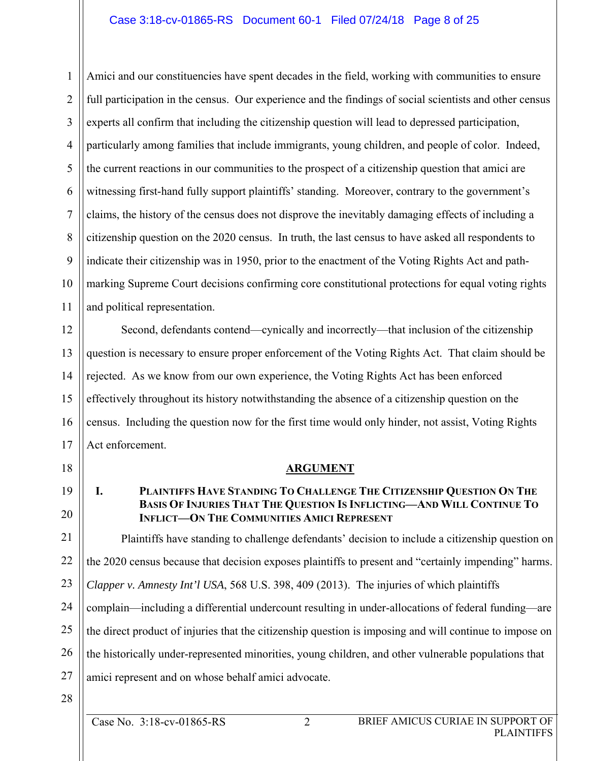## Case 3:18-cv-01865-RS Document 60-1 Filed 07/24/18 Page 8 of 25

1 2 3 4 5 6 7 8 9 10 11 Amici and our constituencies have spent decades in the field, working with communities to ensure full participation in the census. Our experience and the findings of social scientists and other census experts all confirm that including the citizenship question will lead to depressed participation, particularly among families that include immigrants, young children, and people of color. Indeed, the current reactions in our communities to the prospect of a citizenship question that amici are witnessing first-hand fully support plaintiffs' standing. Moreover, contrary to the government's claims, the history of the census does not disprove the inevitably damaging effects of including a citizenship question on the 2020 census. In truth, the last census to have asked all respondents to indicate their citizenship was in 1950, prior to the enactment of the Voting Rights Act and pathmarking Supreme Court decisions confirming core constitutional protections for equal voting rights and political representation.

12 13 14 15 16 17 Second, defendants contend—cynically and incorrectly—that inclusion of the citizenship question is necessary to ensure proper enforcement of the Voting Rights Act. That claim should be rejected. As we know from our own experience, the Voting Rights Act has been enforced effectively throughout its history notwithstanding the absence of a citizenship question on the census. Including the question now for the first time would only hinder, not assist, Voting Rights Act enforcement.

19

20

18

## **ARGUMENT**

## **I. PLAINTIFFS HAVE STANDING TO CHALLENGE THE CITIZENSHIP QUESTION ON THE BASIS OF INJURIES THAT THE QUESTION IS INFLICTING—AND WILL CONTINUE TO INFLICT—ON THE COMMUNITIES AMICI REPRESENT**

21 22 23 24 25 26 27 Plaintiffs have standing to challenge defendants' decision to include a citizenship question on the 2020 census because that decision exposes plaintiffs to present and "certainly impending" harms. *Clapper v. Amnesty Int'l USA*, 568 U.S. 398, 409 (2013). The injuries of which plaintiffs complain—including a differential undercount resulting in under-allocations of federal funding—are the direct product of injuries that the citizenship question is imposing and will continue to impose on the historically under-represented minorities, young children, and other vulnerable populations that amici represent and on whose behalf amici advocate.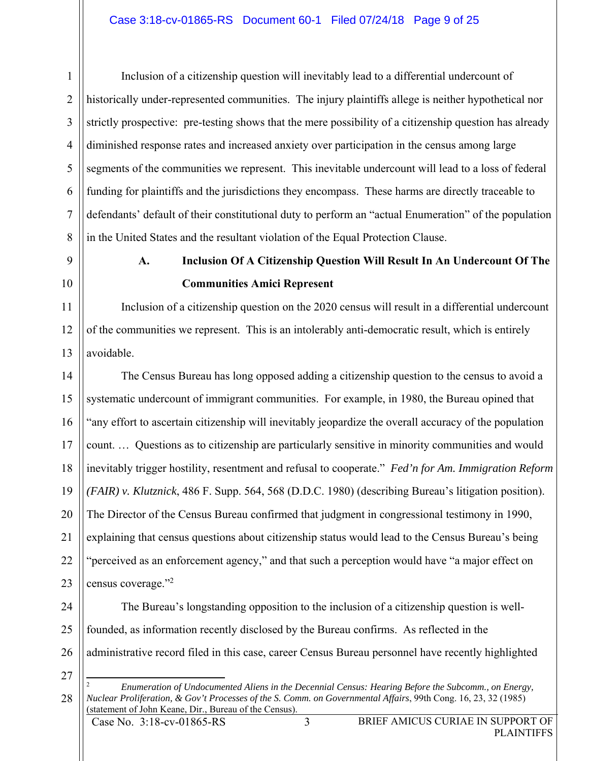1 2 3 4 5 6 7 8 Inclusion of a citizenship question will inevitably lead to a differential undercount of historically under-represented communities. The injury plaintiffs allege is neither hypothetical nor strictly prospective: pre-testing shows that the mere possibility of a citizenship question has already diminished response rates and increased anxiety over participation in the census among large segments of the communities we represent. This inevitable undercount will lead to a loss of federal funding for plaintiffs and the jurisdictions they encompass. These harms are directly traceable to defendants' default of their constitutional duty to perform an "actual Enumeration" of the population in the United States and the resultant violation of the Equal Protection Clause.

10

11

12

13

9

## **A. Inclusion Of A Citizenship Question Will Result In An Undercount Of The Communities Amici Represent**

Inclusion of a citizenship question on the 2020 census will result in a differential undercount of the communities we represent. This is an intolerably anti-democratic result, which is entirely avoidable.

14 15 16 17 18 19 20 21 22 23 The Census Bureau has long opposed adding a citizenship question to the census to avoid a systematic undercount of immigrant communities. For example, in 1980, the Bureau opined that "any effort to ascertain citizenship will inevitably jeopardize the overall accuracy of the population count. … Questions as to citizenship are particularly sensitive in minority communities and would inevitably trigger hostility, resentment and refusal to cooperate." *Fed'n for Am. Immigration Reform (FAIR) v. Klutznick*, 486 F. Supp. 564, 568 (D.D.C. 1980) (describing Bureau's litigation position). The Director of the Census Bureau confirmed that judgment in congressional testimony in 1990, explaining that census questions about citizenship status would lead to the Census Bureau's being "perceived as an enforcement agency," and that such a perception would have "a major effect on census coverage."<sup>2</sup>

24 25 26 The Bureau's longstanding opposition to the inclusion of a citizenship question is wellfounded, as information recently disclosed by the Bureau confirms. As reflected in the administrative record filed in this case, career Census Bureau personnel have recently highlighted

27

 $\overline{a}$ <sup>2</sup> *Enumeration of Undocumented Aliens in the Decennial Census: Hearing Before the Subcomm., on Energy, Nuclear Proliferation, & Gov't Processes of the S. Comm. on Governmental Affairs*, 99th Cong. 16, 23, 32 (1985) (statement of John Keane, Dir., Bureau of the Census).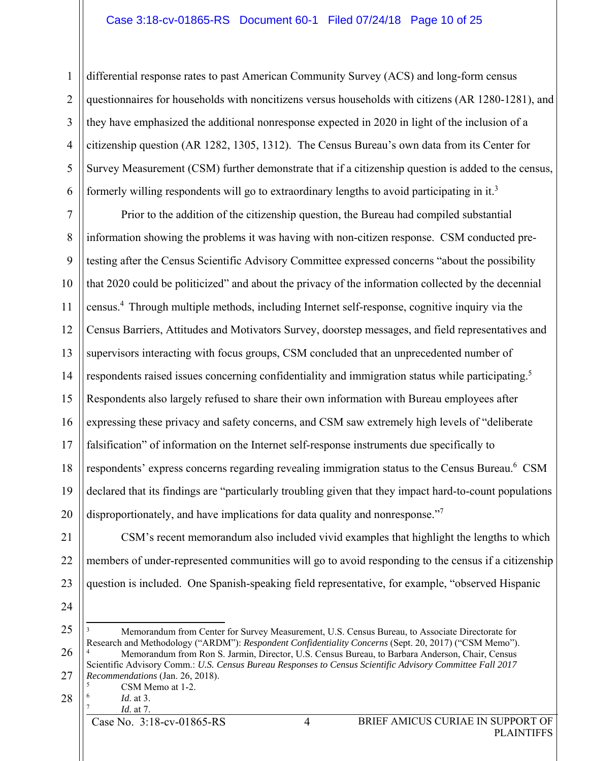## Case 3:18-cv-01865-RS Document 60-1 Filed 07/24/18 Page 10 of 25

2 3 4 5 6 differential response rates to past American Community Survey (ACS) and long-form census questionnaires for households with noncitizens versus households with citizens (AR 1280-1281), and they have emphasized the additional nonresponse expected in 2020 in light of the inclusion of a citizenship question (AR 1282, 1305, 1312). The Census Bureau's own data from its Center for Survey Measurement (CSM) further demonstrate that if a citizenship question is added to the census, formerly willing respondents will go to extraordinary lengths to avoid participating in it.<sup>3</sup>

7 8 9 10 11 12 13 14 15 16 17 18 19 20 Prior to the addition of the citizenship question, the Bureau had compiled substantial information showing the problems it was having with non-citizen response. CSM conducted pretesting after the Census Scientific Advisory Committee expressed concerns "about the possibility that 2020 could be politicized" and about the privacy of the information collected by the decennial census.4 Through multiple methods, including Internet self-response, cognitive inquiry via the Census Barriers, Attitudes and Motivators Survey, doorstep messages, and field representatives and supervisors interacting with focus groups, CSM concluded that an unprecedented number of respondents raised issues concerning confidentiality and immigration status while participating.<sup>5</sup> Respondents also largely refused to share their own information with Bureau employees after expressing these privacy and safety concerns, and CSM saw extremely high levels of "deliberate falsification" of information on the Internet self-response instruments due specifically to respondents' express concerns regarding revealing immigration status to the Census Bureau.<sup>6</sup> CSM declared that its findings are "particularly troubling given that they impact hard-to-count populations disproportionately, and have implications for data quality and nonresponse."<sup>7</sup>

21 22 23 CSM's recent memorandum also included vivid examples that highlight the lengths to which members of under-represented communities will go to avoid responding to the census if a citizenship question is included. One Spanish-speaking field representative, for example, "observed Hispanic

24

1

25 26 27  $\overline{a}$ 3 Memorandum from Center for Survey Measurement, U.S. Census Bureau, to Associate Directorate for Research and Methodology ("ARDM"): *Respondent Confidentiality Concerns* (Sept. 20, 2017) ("CSM Memo"). 4 Memorandum from Ron S. Jarmin, Director, U.S. Census Bureau, to Barbara Anderson, Chair, Census Scientific Advisory Comm.: *U.S. Census Bureau Responses to Census Scientific Advisory Committee Fall 2017 Recommendations* (Jan. 26, 2018).

CSM Memo at 1-2.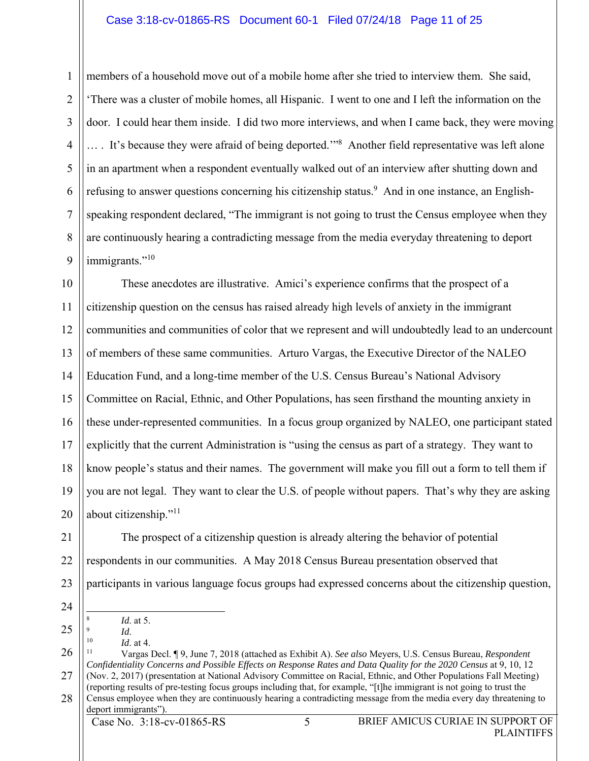## Case 3:18-cv-01865-RS Document 60-1 Filed 07/24/18 Page 11 of 25

members of a household move out of a mobile home after she tried to interview them. She said, 'There was a cluster of mobile homes, all Hispanic. I went to one and I left the information on the door. I could hear them inside. I did two more interviews, and when I came back, they were moving .... It's because they were afraid of being deported."<sup>8</sup> Another field representative was left alone in an apartment when a respondent eventually walked out of an interview after shutting down and refusing to answer questions concerning his citizenship status.<sup>9</sup> And in one instance, an Englishspeaking respondent declared, "The immigrant is not going to trust the Census employee when they are continuously hearing a contradicting message from the media everyday threatening to deport immigrants."<sup>10</sup>

10 11 12 13 14 15 16 17 18 19 20 These anecdotes are illustrative. Amici's experience confirms that the prospect of a citizenship question on the census has raised already high levels of anxiety in the immigrant communities and communities of color that we represent and will undoubtedly lead to an undercount of members of these same communities. Arturo Vargas, the Executive Director of the NALEO Education Fund, and a long-time member of the U.S. Census Bureau's National Advisory Committee on Racial, Ethnic, and Other Populations, has seen firsthand the mounting anxiety in these under-represented communities. In a focus group organized by NALEO, one participant stated explicitly that the current Administration is "using the census as part of a strategy. They want to know people's status and their names. The government will make you fill out a form to tell them if you are not legal. They want to clear the U.S. of people without papers. That's why they are asking about citizenship."<sup>11</sup>

21 22

1

2

3

4

5

6

7

8

9

23 The prospect of a citizenship question is already altering the behavior of potential respondents in our communities. A May 2018 Census Bureau presentation observed that participants in various language focus groups had expressed concerns about the citizenship question,

24

25

- $\overline{a}$ 
	-

<sup>8</sup> *Id*. at 5.

- 
- 26 27 28 <sup>9</sup> *Id*. 10 *Id*. at 4. 11 Vargas Decl. ¶ 9, June 7, 2018 (attached as Exhibit A). *See also* Meyers, U.S. Census Bureau, *Respondent Confidentiality Concerns and Possible Effects on Response Rates and Data Quality for the 2020 Census* at 9, 10, 12 (Nov. 2, 2017) (presentation at National Advisory Committee on Racial, Ethnic, and Other Populations Fall Meeting) (reporting results of pre-testing focus groups including that, for example, "[t]he immigrant is not going to trust the Census employee when they are continuously hearing a contradicting message from the media every day threatening to deport immigrants").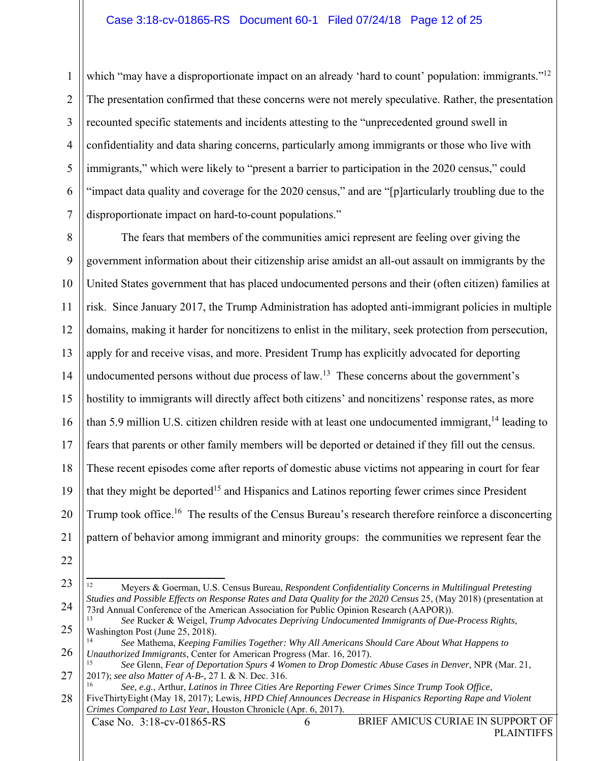1 2 3 4 5 6 7 which "may have a disproportionate impact on an already 'hard to count' population: immigrants."<sup>12</sup> The presentation confirmed that these concerns were not merely speculative. Rather, the presentation recounted specific statements and incidents attesting to the "unprecedented ground swell in confidentiality and data sharing concerns, particularly among immigrants or those who live with immigrants," which were likely to "present a barrier to participation in the 2020 census," could "impact data quality and coverage for the 2020 census," and are "[p]articularly troubling due to the disproportionate impact on hard-to-count populations."

8 9 10 11 12 13 14 15 16 17 18 19 20 21 The fears that members of the communities amici represent are feeling over giving the government information about their citizenship arise amidst an all-out assault on immigrants by the United States government that has placed undocumented persons and their (often citizen) families at risk. Since January 2017, the Trump Administration has adopted anti-immigrant policies in multiple domains, making it harder for noncitizens to enlist in the military, seek protection from persecution, apply for and receive visas, and more. President Trump has explicitly advocated for deporting undocumented persons without due process of  $law<sup>13</sup>$ . These concerns about the government's hostility to immigrants will directly affect both citizens' and noncitizens' response rates, as more than 5.9 million U.S. citizen children reside with at least one undocumented immigrant,  $^{14}$  leading to fears that parents or other family members will be deported or detained if they fill out the census. These recent episodes come after reports of domestic abuse victims not appearing in court for fear that they might be deported<sup>15</sup> and Hispanics and Latinos reporting fewer crimes since President Trump took office.<sup>16</sup> The results of the Census Bureau's research therefore reinforce a disconcerting pattern of behavior among immigrant and minority groups: the communities we represent fear the

<sup>23</sup> 24  $\overline{a}$ 12 Meyers & Goerman, U.S. Census Bureau, *Respondent Confidentiality Concerns in Multilingual Pretesting Studies and Possible Effects on Response Rates and Data Quality for the 2020 Census* 25, (May 2018) (presentation at 73rd Annual Conference of the American Association for Public Opinion Research (AAPOR)).

<sup>25</sup> <sup>13</sup> *See* Rucker & Weigel, *Trump Advocates Depriving Undocumented Immigrants of Due-Process Rights*, Washington Post (June 25, 2018).

<sup>26</sup> <sup>14</sup> *See* Mathema, *Keeping Families Together: Why All Americans Should Care About What Happens to Unauthorized Immigrants*, Center for American Progress (Mar. 16, 2017).

<sup>27</sup> <sup>15</sup> *See* Glenn, *Fear of Deportation Spurs 4 Women to Drop Domestic Abuse Cases in Denver*, NPR (Mar. 21, 2017); *see also Matter of A-B-,* 27 I. & N. Dec. 316.

<sup>28</sup> <sup>16</sup> *See, e.g.*, Arthur, *Latinos in Three Cities Are Reporting Fewer Crimes Since Trump Took Office*, FiveThirtyEight (May 18, 2017); Lewis, *HPD Chief Announces Decrease in Hispanics Reporting Rape and Violent Crimes Compared to Last Year*, Houston Chronicle (Apr. 6, 2017).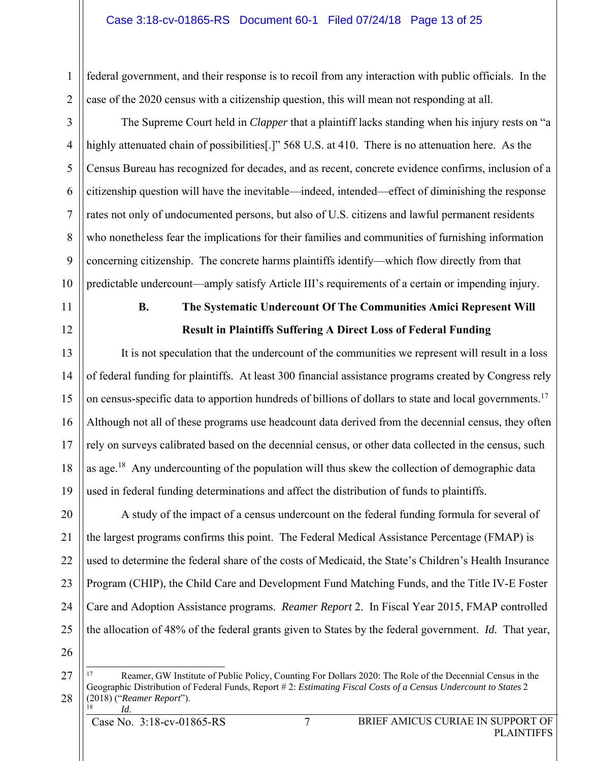### Case 3:18-cv-01865-RS Document 60-1 Filed 07/24/18 Page 13 of 25

federal government, and their response is to recoil from any interaction with public officials. In the case of the 2020 census with a citizenship question, this will mean not responding at all.

The Supreme Court held in *Clapper* that a plaintiff lacks standing when his injury rests on "a highly attenuated chain of possibilities[.]" 568 U.S. at 410. There is no attenuation here. As the Census Bureau has recognized for decades, and as recent, concrete evidence confirms, inclusion of a citizenship question will have the inevitable—indeed, intended—effect of diminishing the response rates not only of undocumented persons, but also of U.S. citizens and lawful permanent residents who nonetheless fear the implications for their families and communities of furnishing information concerning citizenship. The concrete harms plaintiffs identify—which flow directly from that predictable undercount—amply satisfy Article III's requirements of a certain or impending injury.

11

1

2

3

4

5

6

7

8

9

10

12

## **B. The Systematic Undercount Of The Communities Amici Represent Will Result in Plaintiffs Suffering A Direct Loss of Federal Funding**

13 14 15 16 17 18 19 It is not speculation that the undercount of the communities we represent will result in a loss of federal funding for plaintiffs. At least 300 financial assistance programs created by Congress rely on census-specific data to apportion hundreds of billions of dollars to state and local governments.<sup>17</sup> Although not all of these programs use headcount data derived from the decennial census, they often rely on surveys calibrated based on the decennial census, or other data collected in the census, such as age.<sup>18</sup> Any undercounting of the population will thus skew the collection of demographic data used in federal funding determinations and affect the distribution of funds to plaintiffs.

20 21 22 23 24 25 A study of the impact of a census undercount on the federal funding formula for several of the largest programs confirms this point. The Federal Medical Assistance Percentage (FMAP) is used to determine the federal share of the costs of Medicaid, the State's Children's Health Insurance Program (CHIP), the Child Care and Development Fund Matching Funds, and the Title IV-E Foster Care and Adoption Assistance programs. *Reamer Report* 2. In Fiscal Year 2015, FMAP controlled the allocation of 48% of the federal grants given to States by the federal government. *Id.* That year,

26

27

<sup>17</sup> 17 Reamer, GW Institute of Public Policy, Counting For Dollars 2020: The Role of the Decennial Census in the Geographic Distribution of Federal Funds, Report # 2: *Estimating Fiscal Costs of a Census Undercount to States* 2 (2018) ("*Reamer Report*"). <sup>18</sup> *Id*.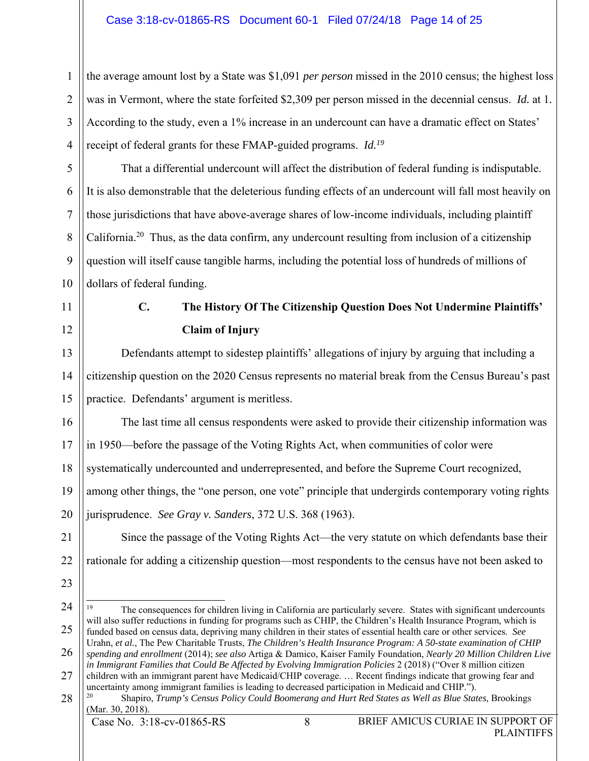the average amount lost by a State was \$1,091 *per person* missed in the 2010 census; the highest loss was in Vermont, where the state forfeited \$2,309 per person missed in the decennial census. *Id.* at 1*.* According to the study, even a 1% increase in an undercount can have a dramatic effect on States' receipt of federal grants for these FMAP-guided programs. *Id.19*

That a differential undercount will affect the distribution of federal funding is indisputable. It is also demonstrable that the deleterious funding effects of an undercount will fall most heavily on those jurisdictions that have above-average shares of low-income individuals, including plaintiff California.20 Thus, as the data confirm, any undercount resulting from inclusion of a citizenship question will itself cause tangible harms, including the potential loss of hundreds of millions of dollars of federal funding.

11

1

2

3

4

5

6

7

8

9

10

12

## **C. The History Of The Citizenship Question Does Not Undermine Plaintiffs' Claim of Injury**

13 14 15 Defendants attempt to sidestep plaintiffs' allegations of injury by arguing that including a citizenship question on the 2020 Census represents no material break from the Census Bureau's past practice. Defendants' argument is meritless.

16 The last time all census respondents were asked to provide their citizenship information was

17 in 1950—before the passage of the Voting Rights Act, when communities of color were

18 systematically undercounted and underrepresented, and before the Supreme Court recognized,

19 20 among other things, the "one person, one vote" principle that undergirds contemporary voting rights jurisprudence. *See Gray v. Sanders*, 372 U.S. 368 (1963).

Since the passage of the Voting Rights Act—the very statute on which defendants base their

21

22

- 23
- 24

25  $19$ 19 The consequences for children living in California are particularly severe. States with significant undercounts will also suffer reductions in funding for programs such as CHIP, the Children's Health Insurance Program, which is funded based on census data, depriving many children in their states of essential health care or other services. *See*  Urahn, *et al.*, The Pew Charitable Trusts, *The Children's Health Insurance Program: A 50-state examination of CHIP* 

rationale for adding a citizenship question—most respondents to the census have not been asked to

- 26 *spending and enrollment* (2014); *see also* Artiga & Damico, Kaiser Family Foundation, *Nearly 20 Million Children Live in Immigrant Families that Could Be Affected by Evolving Immigration Policies* 2 (2018) ("Over 8 million citizen
- 27 28 children with an immigrant parent have Medicaid/CHIP coverage. … Recent findings indicate that growing fear and uncertainty among immigrant families is leading to decreased participation in Medicaid and CHIP.").

20 Shapiro, *Trump's Census Policy Could Boomerang and Hurt Red States as Well as Blue States*, Brookings (Mar. 30, 2018).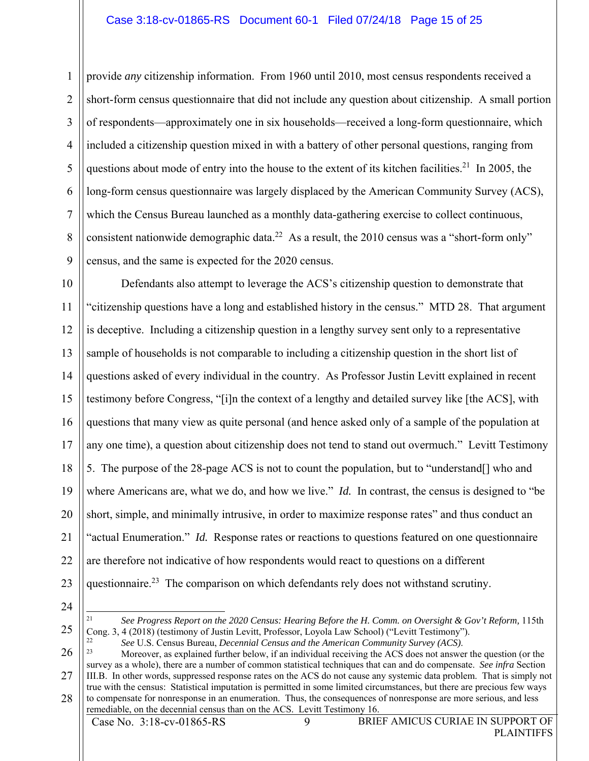1 2 3 4 5 6 7 8 9 provide *any* citizenship information. From 1960 until 2010, most census respondents received a short-form census questionnaire that did not include any question about citizenship. A small portion of respondents—approximately one in six households—received a long-form questionnaire, which included a citizenship question mixed in with a battery of other personal questions, ranging from questions about mode of entry into the house to the extent of its kitchen facilities.<sup>21</sup> In 2005, the long-form census questionnaire was largely displaced by the American Community Survey (ACS), which the Census Bureau launched as a monthly data-gathering exercise to collect continuous, consistent nationwide demographic data.<sup>22</sup> As a result, the 2010 census was a "short-form only" census, and the same is expected for the 2020 census.

10 11 12 13 14 15 16 17 18 19 20 21 22 23 Defendants also attempt to leverage the ACS's citizenship question to demonstrate that "citizenship questions have a long and established history in the census." MTD 28. That argument is deceptive. Including a citizenship question in a lengthy survey sent only to a representative sample of households is not comparable to including a citizenship question in the short list of questions asked of every individual in the country. As Professor Justin Levitt explained in recent testimony before Congress, "[i]n the context of a lengthy and detailed survey like [the ACS], with questions that many view as quite personal (and hence asked only of a sample of the population at any one time), a question about citizenship does not tend to stand out overmuch." Levitt Testimony 5. The purpose of the 28-page ACS is not to count the population, but to "understand[] who and where Americans are, what we do, and how we live." *Id.* In contrast, the census is designed to "be" short, simple, and minimally intrusive, in order to maximize response rates" and thus conduct an "actual Enumeration." *Id.* Response rates or reactions to questions featured on one questionnaire are therefore not indicative of how respondents would react to questions on a different questionnaire.23 The comparison on which defendants rely does not withstand scrutiny.

24

1

25

<sup>21</sup> *See Progress Report on the 2020 Census: Hearing Before the H. Comm. on Oversight & Gov't Reform,* 115th Cong. 3, 4 (2018) (testimony of Justin Levitt, Professor, Loyola Law School) ("Levitt Testimony").<br>
See U.S. Census Bureau, *Decennial Census and the American Community Survey (ACS)*.<br>
Moreover, as explained further below,

<sup>26</sup> 27 28 survey as a whole), there are a number of common statistical techniques that can and do compensate. *See infra* Section III.B. In other words, suppressed response rates on the ACS do not cause any systemic data problem. That is simply not true with the census: Statistical imputation is permitted in some limited circumstances, but there are precious few ways to compensate for nonresponse in an enumeration. Thus, the consequences of nonresponse are more serious, and less remediable, on the decennial census than on the ACS. Levitt Testimony 16.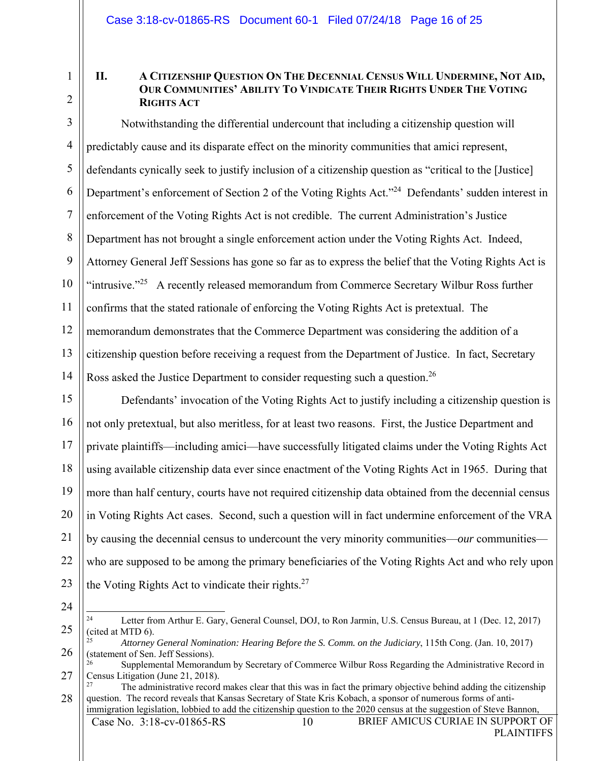1

2

## **II. A CITIZENSHIP QUESTION ON THE DECENNIAL CENSUS WILL UNDERMINE, NOT AID, OUR COMMUNITIES' ABILITY TO VINDICATE THEIR RIGHTS UNDER THE VOTING RIGHTS ACT**

3 4 5 6 7 8 9 10 11 12 13 14 Notwithstanding the differential undercount that including a citizenship question will predictably cause and its disparate effect on the minority communities that amici represent, defendants cynically seek to justify inclusion of a citizenship question as "critical to the [Justice] Department's enforcement of Section 2 of the Voting Rights Act."<sup>24</sup> Defendants' sudden interest in enforcement of the Voting Rights Act is not credible. The current Administration's Justice Department has not brought a single enforcement action under the Voting Rights Act. Indeed, Attorney General Jeff Sessions has gone so far as to express the belief that the Voting Rights Act is "intrusive."<sup>25</sup> A recently released memorandum from Commerce Secretary Wilbur Ross further confirms that the stated rationale of enforcing the Voting Rights Act is pretextual. The memorandum demonstrates that the Commerce Department was considering the addition of a citizenship question before receiving a request from the Department of Justice. In fact, Secretary Ross asked the Justice Department to consider requesting such a question.<sup>26</sup>

15 16 17 18 19 20 21 22 23 Defendants' invocation of the Voting Rights Act to justify including a citizenship question is not only pretextual, but also meritless, for at least two reasons. First, the Justice Department and private plaintiffs—including amici—have successfully litigated claims under the Voting Rights Act using available citizenship data ever since enactment of the Voting Rights Act in 1965. During that more than half century, courts have not required citizenship data obtained from the decennial census in Voting Rights Act cases. Second, such a question will in fact undermine enforcement of the VRA by causing the decennial census to undercount the very minority communities—*our* communities who are supposed to be among the primary beneficiaries of the Voting Rights Act and who rely upon the Voting Rights Act to vindicate their rights. $27$ 

<sup>25</sup> 1 24 Letter from Arthur E. Gary, General Counsel, DOJ, to Ron Jarmin, U.S. Census Bureau, at 1 (Dec. 12, 2017) (cited at MTD 6).

<sup>26</sup> <sup>25</sup> *Attorney General Nomination: Hearing Before the S. Comm. on the Judiciary*, 115th Cong. (Jan. 10, 2017) (statement of Sen. Jeff Sessions).

<sup>27</sup> 26 Supplemental Memorandum by Secretary of Commerce Wilbur Ross Regarding the Administrative Record in Census Litigation (June 21, 2018).

<sup>28</sup> 27 The administrative record makes clear that this was in fact the primary objective behind adding the citizenship question. The record reveals that Kansas Secretary of State Kris Kobach, a sponsor of numerous forms of antiimmigration legislation, lobbied to add the citizenship question to the 2020 census at the suggestion of Steve Bannon,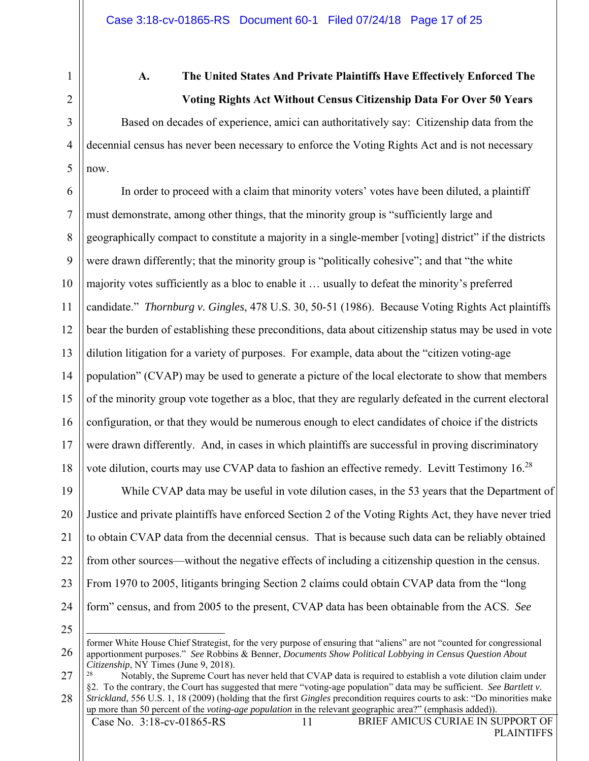1

2

3

4

5

## **A. The United States And Private Plaintiffs Have Effectively Enforced The Voting Rights Act Without Census Citizenship Data For Over 50 Years**

Based on decades of experience, amici can authoritatively say: Citizenship data from the decennial census has never been necessary to enforce the Voting Rights Act and is not necessary now.

6 7 8 9 10 11 12 13 14 15 16 17 18 In order to proceed with a claim that minority voters' votes have been diluted, a plaintiff must demonstrate, among other things, that the minority group is "sufficiently large and geographically compact to constitute a majority in a single-member [voting] district" if the districts were drawn differently; that the minority group is "politically cohesive"; and that "the white majority votes sufficiently as a bloc to enable it … usually to defeat the minority's preferred candidate." *Thornburg v. Gingles*, 478 U.S. 30, 50-51 (1986). Because Voting Rights Act plaintiffs bear the burden of establishing these preconditions, data about citizenship status may be used in vote dilution litigation for a variety of purposes. For example, data about the "citizen voting-age population" (CVAP) may be used to generate a picture of the local electorate to show that members of the minority group vote together as a bloc, that they are regularly defeated in the current electoral configuration, or that they would be numerous enough to elect candidates of choice if the districts were drawn differently. And, in cases in which plaintiffs are successful in proving discriminatory vote dilution, courts may use CVAP data to fashion an effective remedy. Levitt Testimony  $16<sup>28</sup>$ 

19 20 21 22 23 24 While CVAP data may be useful in vote dilution cases, in the 53 years that the Department of Justice and private plaintiffs have enforced Section 2 of the Voting Rights Act, they have never tried to obtain CVAP data from the decennial census. That is because such data can be reliably obtained from other sources—without the negative effects of including a citizenship question in the census. From 1970 to 2005, litigants bringing Section 2 claims could obtain CVAP data from the "long form" census, and from 2005 to the present, CVAP data has been obtainable from the ACS. *See* 

<sup>26</sup> <u>.</u> former White House Chief Strategist, for the very purpose of ensuring that "aliens" are not "counted for congressional apportionment purposes." *See* Robbins & Benner, *Documents Show Political Lobbying in Census Question About Citizenship*, NY Times (June 9, 2018).

<sup>27</sup> 28 Notably, the Supreme Court has never held that CVAP data is required to establish a vote dilution claim under §2. To the contrary, the Court has suggested that mere "voting-age population" data may be sufficient. *See Bartlett v. Strickland*, 556 U.S. 1, 18 (2009) (holding that the first *Gingles* precondition requires courts to ask: "Do minorities make up more than 50 percent of the *voting-age population* in the relevant geographic area?" (emphasis added)).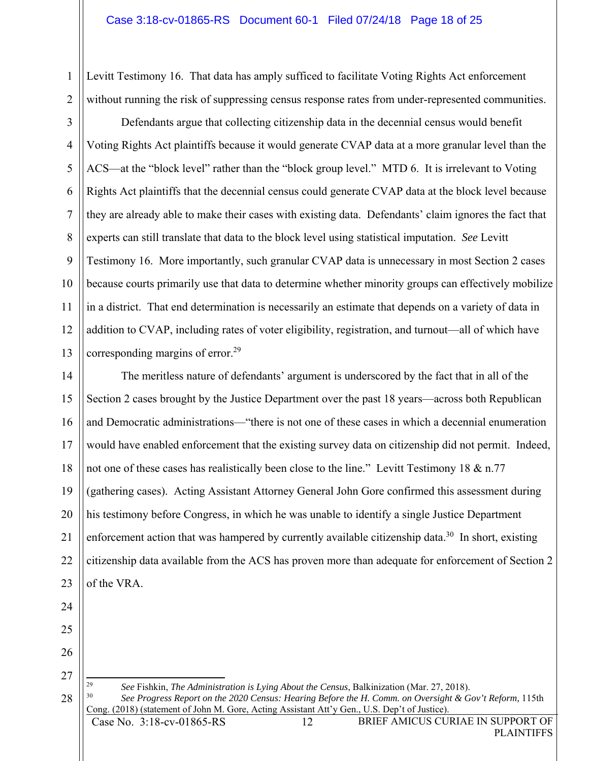Levitt Testimony 16. That data has amply sufficed to facilitate Voting Rights Act enforcement without running the risk of suppressing census response rates from under-represented communities.

3 4 5 6 7 8 9 10 11 12 13 Defendants argue that collecting citizenship data in the decennial census would benefit Voting Rights Act plaintiffs because it would generate CVAP data at a more granular level than the ACS—at the "block level" rather than the "block group level." MTD 6. It is irrelevant to Voting Rights Act plaintiffs that the decennial census could generate CVAP data at the block level because they are already able to make their cases with existing data. Defendants' claim ignores the fact that experts can still translate that data to the block level using statistical imputation. *See* Levitt Testimony 16. More importantly, such granular CVAP data is unnecessary in most Section 2 cases because courts primarily use that data to determine whether minority groups can effectively mobilize in a district. That end determination is necessarily an estimate that depends on a variety of data in addition to CVAP, including rates of voter eligibility, registration, and turnout—all of which have corresponding margins of error.<sup>29</sup>

14 15 16 17 18 19 20 21 22 23 The meritless nature of defendants' argument is underscored by the fact that in all of the Section 2 cases brought by the Justice Department over the past 18 years—across both Republican and Democratic administrations—"there is not one of these cases in which a decennial enumeration would have enabled enforcement that the existing survey data on citizenship did not permit. Indeed, not one of these cases has realistically been close to the line." Levitt Testimony 18 & n.77 (gathering cases). Acting Assistant Attorney General John Gore confirmed this assessment during his testimony before Congress, in which he was unable to identify a single Justice Department enforcement action that was hampered by currently available citizenship data.<sup>30</sup> In short, existing citizenship data available from the ACS has proven more than adequate for enforcement of Section 2 of the VRA.

24

1

2

26 27

28

29

<sup>29</sup> *See* Fishkin, *The Administration is Lying About the Census*, Balkinization (Mar. 27, 2018). See Progress Report on the 2020 Census: Hearing Before the H. Comm. on Oversight & Gov't Reform, 115th Cong. (2018) (statement of John M. Gore, Acting Assistant Att'y Gen., U.S. Dep't of Justice).

<sup>25</sup>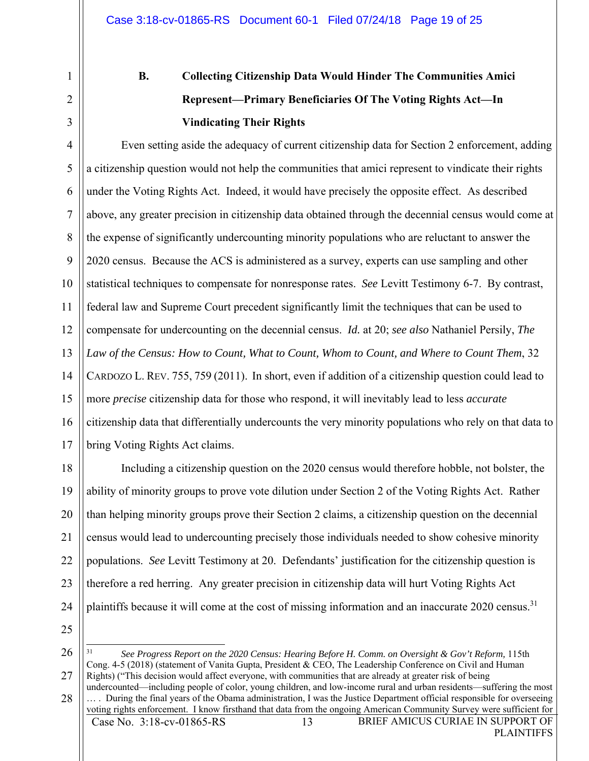1

2

3

# **B. Collecting Citizenship Data Would Hinder The Communities Amici Represent—Primary Beneficiaries Of The Voting Rights Act—In Vindicating Their Rights**

4 5 6 7 8 9 10 11 12 13 14 15 16 17 Even setting aside the adequacy of current citizenship data for Section 2 enforcement, adding a citizenship question would not help the communities that amici represent to vindicate their rights under the Voting Rights Act. Indeed, it would have precisely the opposite effect. As described above, any greater precision in citizenship data obtained through the decennial census would come at the expense of significantly undercounting minority populations who are reluctant to answer the 2020 census. Because the ACS is administered as a survey, experts can use sampling and other statistical techniques to compensate for nonresponse rates. *See* Levitt Testimony 6-7. By contrast, federal law and Supreme Court precedent significantly limit the techniques that can be used to compensate for undercounting on the decennial census. *Id.* at 20; *see also* Nathaniel Persily, *The Law of the Census: How to Count, What to Count, Whom to Count, and Where to Count Them*, 32 CARDOZO L. REV. 755, 759 (2011). In short, even if addition of a citizenship question could lead to more *precise* citizenship data for those who respond, it will inevitably lead to less *accurate* citizenship data that differentially undercounts the very minority populations who rely on that data to bring Voting Rights Act claims.

18 19 20 21 22 23 24 Including a citizenship question on the 2020 census would therefore hobble, not bolster, the ability of minority groups to prove vote dilution under Section 2 of the Voting Rights Act. Rather than helping minority groups prove their Section 2 claims, a citizenship question on the decennial census would lead to undercounting precisely those individuals needed to show cohesive minority populations. *See* Levitt Testimony at 20. Defendants' justification for the citizenship question is therefore a red herring. Any greater precision in citizenship data will hurt Voting Rights Act plaintiffs because it will come at the cost of missing information and an inaccurate 2020 census.<sup>31</sup>

25 26

27

31 <sup>31</sup> *See Progress Report on the 2020 Census: Hearing Before H. Comm. on Oversight & Gov't Reform,* 115th Cong. 4-5 (2018) (statement of Vanita Gupta, President & CEO, The Leadership Conference on Civil and Human Rights) ("This decision would affect everyone, with communities that are already at greater risk of being

28 undercounted—including people of color, young children, and low-income rural and urban residents—suffering the most … . During the final years of the Obama administration, I was the Justice Department official responsible for overseeing voting rights enforcement. I know firsthand that data from the ongoing American Community Survey were sufficient for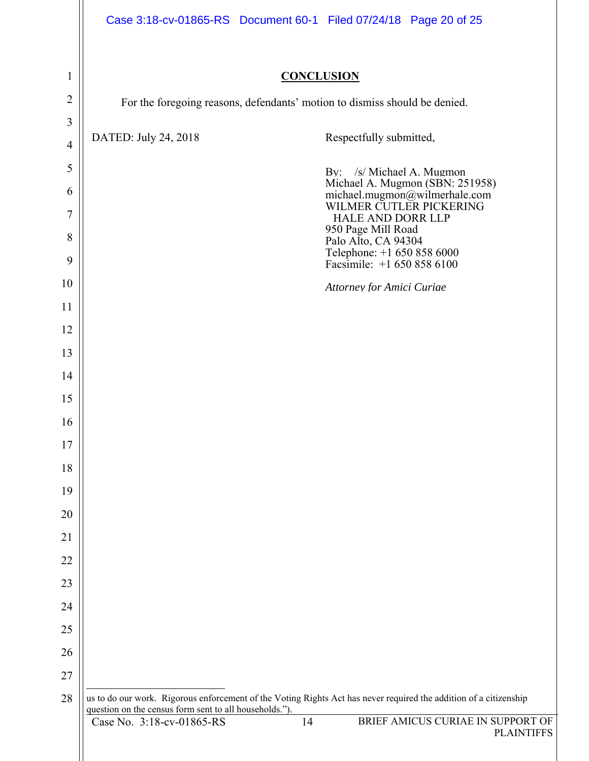|                | Case 3:18-cv-01865-RS Document 60-1 Filed 07/24/18 Page 20 of 25                                                  |                                                                                             |
|----------------|-------------------------------------------------------------------------------------------------------------------|---------------------------------------------------------------------------------------------|
|                |                                                                                                                   |                                                                                             |
| $\mathbf{1}$   | <b>CONCLUSION</b>                                                                                                 |                                                                                             |
| $\overline{2}$ | For the foregoing reasons, defendants' motion to dismiss should be denied.                                        |                                                                                             |
| $\mathfrak{Z}$ |                                                                                                                   |                                                                                             |
| $\overline{4}$ | DATED: July 24, 2018                                                                                              | Respectfully submitted,                                                                     |
| 5              |                                                                                                                   | By: /s/ Michael A. Mugmon                                                                   |
| 6              |                                                                                                                   | Michael A. Mugmon (SBN: 251958)<br>michael.mugmon@wilmerhale.com<br>WILMER CUTLER PICKERING |
| $\overline{7}$ |                                                                                                                   | <b>HALE AND DORR LLP</b>                                                                    |
| 8              |                                                                                                                   | 950 Page Mill Road<br>Palo Alto, CA 94304                                                   |
| 9              |                                                                                                                   | Telephone: +1 650 858 6000<br>Facsimile: +1 650 858 6100                                    |
| 10             |                                                                                                                   | <b>Attorney for Amici Curiae</b>                                                            |
| 11             |                                                                                                                   |                                                                                             |
| 12             |                                                                                                                   |                                                                                             |
| 13             |                                                                                                                   |                                                                                             |
| 14             |                                                                                                                   |                                                                                             |
| 15             |                                                                                                                   |                                                                                             |
| 16             |                                                                                                                   |                                                                                             |
| 17             |                                                                                                                   |                                                                                             |
| 18             |                                                                                                                   |                                                                                             |
| 19             |                                                                                                                   |                                                                                             |
| 20             |                                                                                                                   |                                                                                             |
| 21             |                                                                                                                   |                                                                                             |
| 22             |                                                                                                                   |                                                                                             |
| 23<br>24       |                                                                                                                   |                                                                                             |
| 25             |                                                                                                                   |                                                                                             |
| 26             |                                                                                                                   |                                                                                             |
| 27             |                                                                                                                   |                                                                                             |
| 28             | us to do our work. Rigorous enforcement of the Voting Rights Act has never required the addition of a citizenship |                                                                                             |
|                | question on the census form sent to all households.").<br>14<br>Case No. 3:18-cv-01865-RS                         | BRIEF AMICUS CURIAE IN SUPPORT OF                                                           |
|                |                                                                                                                   | <b>PLAINTIFFS</b>                                                                           |
|                |                                                                                                                   |                                                                                             |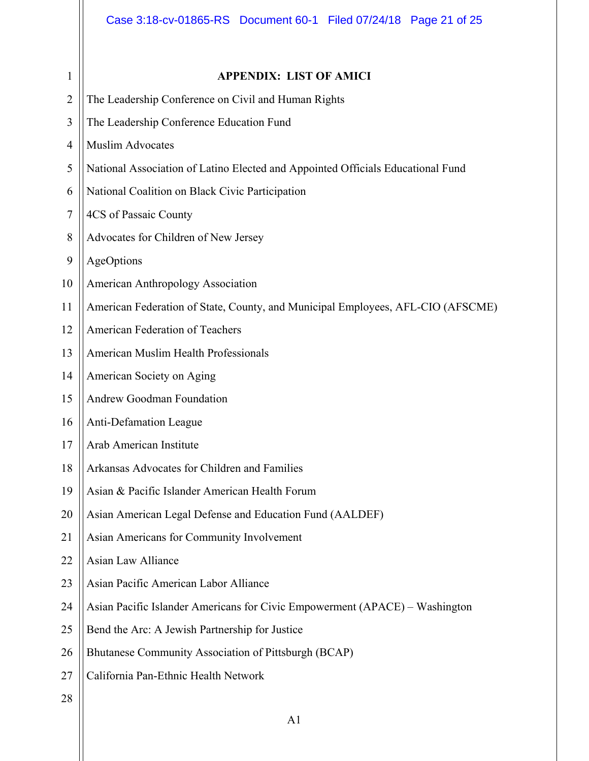| $\mathbf{1}$   | <b>APPENDIX: LIST OF AMICI</b>                                                  |
|----------------|---------------------------------------------------------------------------------|
| $\overline{2}$ | The Leadership Conference on Civil and Human Rights                             |
| $\mathfrak{Z}$ | The Leadership Conference Education Fund                                        |
| 4              | <b>Muslim Advocates</b>                                                         |
| 5              | National Association of Latino Elected and Appointed Officials Educational Fund |
| 6              | National Coalition on Black Civic Participation                                 |
| 7              | 4CS of Passaic County                                                           |
| 8              | Advocates for Children of New Jersey                                            |
| 9              | AgeOptions                                                                      |
| 10             | American Anthropology Association                                               |
| 11             | American Federation of State, County, and Municipal Employees, AFL-CIO (AFSCME) |
| 12             | American Federation of Teachers                                                 |
| 13             | American Muslim Health Professionals                                            |
| 14             | American Society on Aging                                                       |
| 15             | Andrew Goodman Foundation                                                       |
| 16             | Anti-Defamation League                                                          |
| 17             | Arab American Institute                                                         |
| 18             | Arkansas Advocates for Children and Families                                    |
| 19             | Asian & Pacific Islander American Health Forum                                  |
| 20             | Asian American Legal Defense and Education Fund (AALDEF)                        |
| 21             | Asian Americans for Community Involvement                                       |
| 22             | Asian Law Alliance                                                              |
| 23             | Asian Pacific American Labor Alliance                                           |
| 24             | Asian Pacific Islander Americans for Civic Empowerment (APACE) - Washington     |
| 25             | Bend the Arc: A Jewish Partnership for Justice                                  |
| 26             | Bhutanese Community Association of Pittsburgh (BCAP)                            |
| 27             | California Pan-Ethnic Health Network                                            |
| 28             |                                                                                 |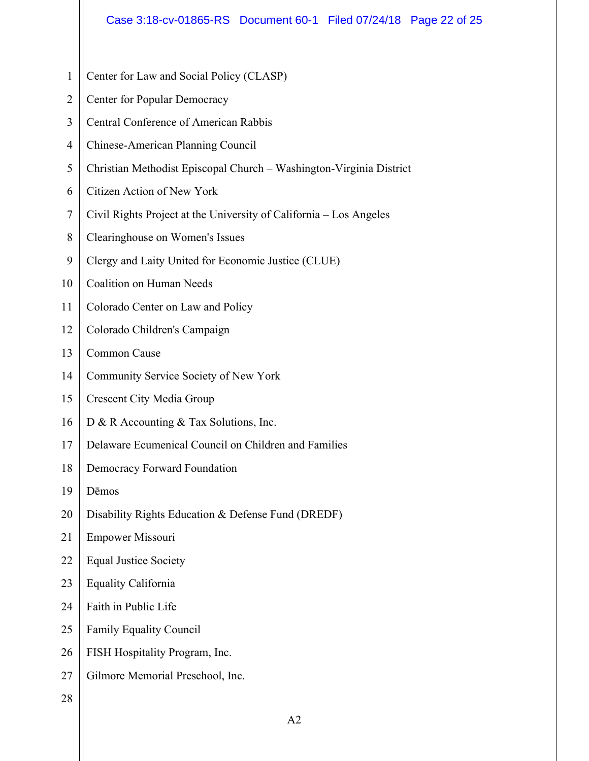2 3 4 5 6 7 8 9 10 11 12 13 14 15 16 17 18 19 20 21 22 23 24 25 26 27 Center for Popular Democracy Central Conference of American Rabbis Chinese-American Planning Council Christian Methodist Episcopal Church – Washington-Virginia District Citizen Action of New York Civil Rights Project at the University of California – Los Angeles Clearinghouse on Women's Issues Clergy and Laity United for Economic Justice (CLUE) Coalition on Human Needs Colorado Center on Law and Policy Colorado Children's Campaign Common Cause Community Service Society of New York Crescent City Media Group D & R Accounting & Tax Solutions, Inc. Delaware Ecumenical Council on Children and Families Democracy Forward Foundation Dēmos Disability Rights Education & Defense Fund (DREDF) Empower Missouri Equal Justice Society Equality California Faith in Public Life Family Equality Council FISH Hospitality Program, Inc. Gilmore Memorial Preschool, Inc.

Center for Law and Social Policy (CLASP)

28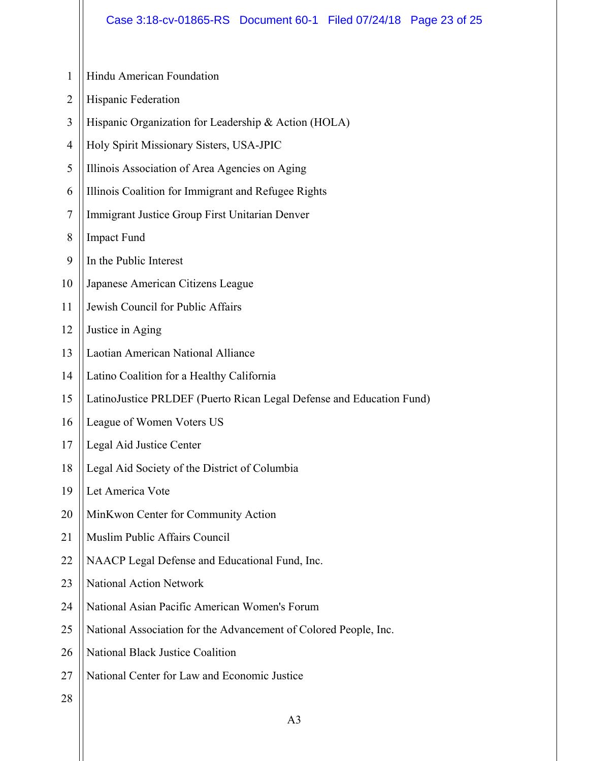- 1 Hindu American Foundation
- 2 Hispanic Federation
- 3 Hispanic Organization for Leadership & Action (HOLA)
- 4 Holy Spirit Missionary Sisters, USA-JPIC
- 5 Illinois Association of Area Agencies on Aging
- 6 Illinois Coalition for Immigrant and Refugee Rights
- 7 Immigrant Justice Group First Unitarian Denver
- 8 Impact Fund
- 9 In the Public Interest
- 10 Japanese American Citizens League
- 11 Jewish Council for Public Affairs
- 12 Justice in Aging
- 13 Laotian American National Alliance
- 14 Latino Coalition for a Healthy California
- 15 LatinoJustice PRLDEF (Puerto Rican Legal Defense and Education Fund)
- 16 League of Women Voters US
- 17 Legal Aid Justice Center
- 18 Legal Aid Society of the District of Columbia
- 19 Let America Vote
- 20 MinKwon Center for Community Action
- 21 Muslim Public Affairs Council
- 22 NAACP Legal Defense and Educational Fund, Inc.
- 23 National Action Network
- 24 National Asian Pacific American Women's Forum
- 25 National Association for the Advancement of Colored People, Inc.
- 26 National Black Justice Coalition
- 27 National Center for Law and Economic Justice
- 28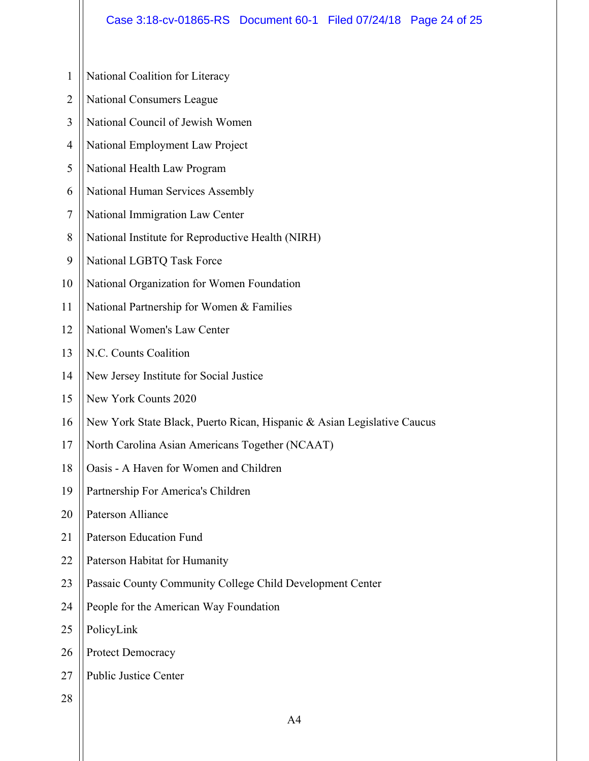## Case 3:18-cv-01865-RS Document 60-1 Filed 07/24/18 Page 24 of 25

| $\mathbf{1}$   | National Coalition for Literacy                                         |
|----------------|-------------------------------------------------------------------------|
| $\overline{2}$ | <b>National Consumers League</b>                                        |
| 3              | National Council of Jewish Women                                        |
| $\overline{4}$ | National Employment Law Project                                         |
| 5              | National Health Law Program                                             |
| 6              | National Human Services Assembly                                        |
| 7              | National Immigration Law Center                                         |
| 8              | National Institute for Reproductive Health (NIRH)                       |
| 9              | National LGBTQ Task Force                                               |
| 10             | National Organization for Women Foundation                              |
| 11             | National Partnership for Women & Families                               |
| 12             | National Women's Law Center                                             |
| 13             | N.C. Counts Coalition                                                   |
| 14             | New Jersey Institute for Social Justice                                 |
| 15             | New York Counts 2020                                                    |
| 16             | New York State Black, Puerto Rican, Hispanic & Asian Legislative Caucus |
| 17             | North Carolina Asian Americans Together (NCAAT)                         |
| 18             | Oasis - A Haven for Women and Children                                  |
| 19             | Partnership For America's Children                                      |
| 20             | <b>Paterson Alliance</b>                                                |
| 21             | <b>Paterson Education Fund</b>                                          |
| 22             | Paterson Habitat for Humanity                                           |
| 23             | Passaic County Community College Child Development Center               |
| 24             | People for the American Way Foundation                                  |
| 25             | PolicyLink                                                              |
| 26             | Protect Democracy                                                       |
| 27             | <b>Public Justice Center</b>                                            |
| 28             |                                                                         |
|                | A4                                                                      |